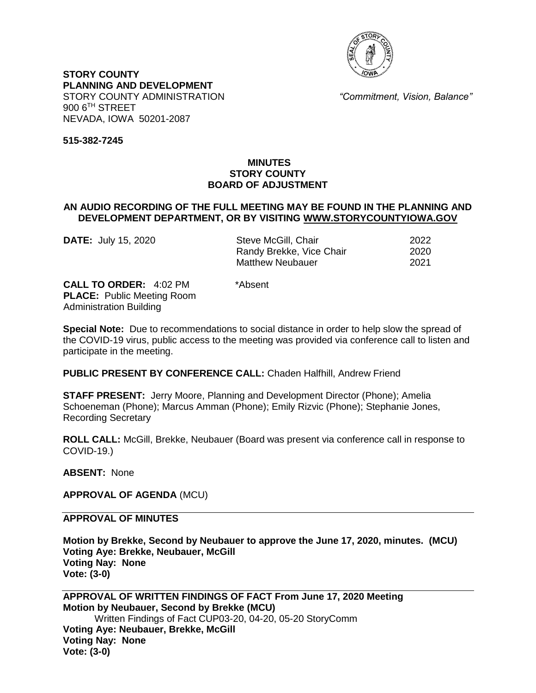

**STORY COUNTY PLANNING AND DEVELOPMENT** STORY COUNTY ADMINISTRATION *"Commitment, Vision, Balance"* 900 6TH STREET NEVADA, IOWA 50201-2087

**515-382-7245**

# **MINUTES STORY COUNTY BOARD OF ADJUSTMENT**

### **AN AUDIO RECORDING OF THE FULL MEETING MAY BE FOUND IN THE PLANNING AND DEVELOPMENT DEPARTMENT, OR BY VISITING [WWW.STORYCOUNTYIOWA.GOV](http://www.storycountyiowa.gov/)**

**DATE:** July 15, 2020 Steve McGill, Chair 2022 Randy Brekke, Vice Chair 2020 Matthew Neubauer 2021

**CALL TO ORDER:** 4:02 PM \*Absent **PLACE:** Public Meeting Room Administration Building

**Special Note:** Due to recommendations to social distance in order to help slow the spread of the COVID-19 virus, public access to the meeting was provided via conference call to listen and participate in the meeting.

**PUBLIC PRESENT BY CONFERENCE CALL:** Chaden Halfhill, Andrew Friend

**STAFF PRESENT:** Jerry Moore, Planning and Development Director (Phone); Amelia Schoeneman (Phone); Marcus Amman (Phone); Emily Rizvic (Phone); Stephanie Jones, Recording Secretary

**ROLL CALL:** McGill, Brekke, Neubauer (Board was present via conference call in response to COVID-19.)

**ABSENT:** None

**APPROVAL OF AGENDA** (MCU)

**APPROVAL OF MINUTES** 

**Motion by Brekke, Second by Neubauer to approve the June 17, 2020, minutes. (MCU) Voting Aye: Brekke, Neubauer, McGill Voting Nay: None Vote: (3-0)**

**APPROVAL OF WRITTEN FINDINGS OF FACT From June 17, 2020 Meeting Motion by Neubauer, Second by Brekke (MCU)** Written Findings of Fact CUP03-20, 04-20, 05-20 StoryComm **Voting Aye: Neubauer, Brekke, McGill Voting Nay: None Vote: (3-0)**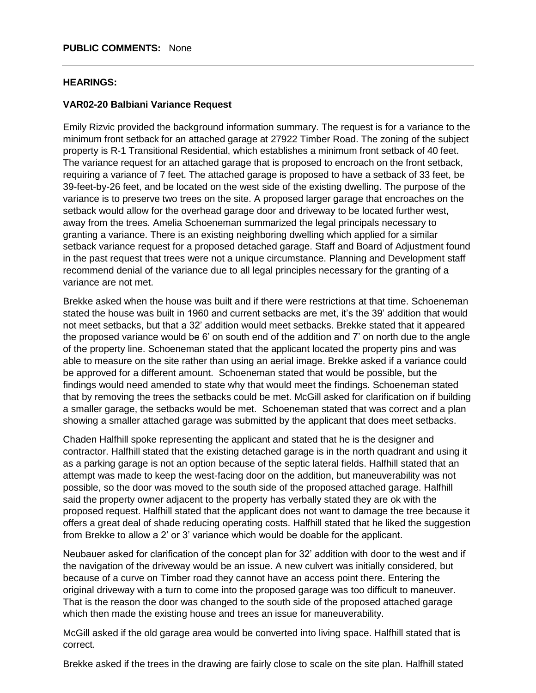#### **HEARINGS:**

### **VAR02-20 Balbiani Variance Request**

Emily Rizvic provided the background information summary. The request is for a variance to the minimum front setback for an attached garage at 27922 Timber Road. The zoning of the subject property is R-1 Transitional Residential, which establishes a minimum front setback of 40 feet. The variance request for an attached garage that is proposed to encroach on the front setback, requiring a variance of 7 feet. The attached garage is proposed to have a setback of 33 feet, be 39-feet-by-26 feet, and be located on the west side of the existing dwelling. The purpose of the variance is to preserve two trees on the site. A proposed larger garage that encroaches on the setback would allow for the overhead garage door and driveway to be located further west, away from the trees. Amelia Schoeneman summarized the legal principals necessary to granting a variance. There is an existing neighboring dwelling which applied for a similar setback variance request for a proposed detached garage. Staff and Board of Adjustment found in the past request that trees were not a unique circumstance. Planning and Development staff recommend denial of the variance due to all legal principles necessary for the granting of a variance are not met.

Brekke asked when the house was built and if there were restrictions at that time. Schoeneman stated the house was built in 1960 and current setbacks are met, it's the 39' addition that would not meet setbacks, but that a 32' addition would meet setbacks. Brekke stated that it appeared the proposed variance would be 6' on south end of the addition and 7' on north due to the angle of the property line. Schoeneman stated that the applicant located the property pins and was able to measure on the site rather than using an aerial image. Brekke asked if a variance could be approved for a different amount. Schoeneman stated that would be possible, but the findings would need amended to state why that would meet the findings. Schoeneman stated that by removing the trees the setbacks could be met. McGill asked for clarification on if building a smaller garage, the setbacks would be met. Schoeneman stated that was correct and a plan showing a smaller attached garage was submitted by the applicant that does meet setbacks.

Chaden Halfhill spoke representing the applicant and stated that he is the designer and contractor. Halfhill stated that the existing detached garage is in the north quadrant and using it as a parking garage is not an option because of the septic lateral fields. Halfhill stated that an attempt was made to keep the west-facing door on the addition, but maneuverability was not possible, so the door was moved to the south side of the proposed attached garage. Halfhill said the property owner adjacent to the property has verbally stated they are ok with the proposed request. Halfhill stated that the applicant does not want to damage the tree because it offers a great deal of shade reducing operating costs. Halfhill stated that he liked the suggestion from Brekke to allow a 2' or 3' variance which would be doable for the applicant.

Neubauer asked for clarification of the concept plan for 32' addition with door to the west and if the navigation of the driveway would be an issue. A new culvert was initially considered, but because of a curve on Timber road they cannot have an access point there. Entering the original driveway with a turn to come into the proposed garage was too difficult to maneuver. That is the reason the door was changed to the south side of the proposed attached garage which then made the existing house and trees an issue for maneuverability.

McGill asked if the old garage area would be converted into living space. Halfhill stated that is correct.

Brekke asked if the trees in the drawing are fairly close to scale on the site plan. Halfhill stated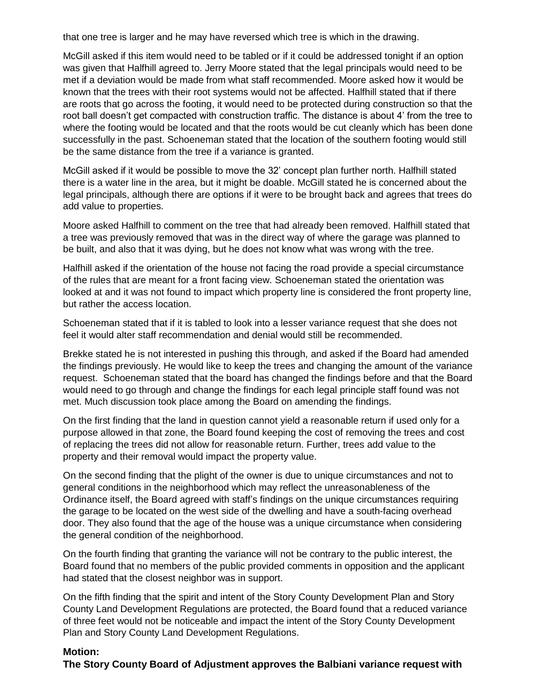that one tree is larger and he may have reversed which tree is which in the drawing.

McGill asked if this item would need to be tabled or if it could be addressed tonight if an option was given that Halfhill agreed to. Jerry Moore stated that the legal principals would need to be met if a deviation would be made from what staff recommended. Moore asked how it would be known that the trees with their root systems would not be affected. Halfhill stated that if there are roots that go across the footing, it would need to be protected during construction so that the root ball doesn't get compacted with construction traffic. The distance is about 4' from the tree to where the footing would be located and that the roots would be cut cleanly which has been done successfully in the past. Schoeneman stated that the location of the southern footing would still be the same distance from the tree if a variance is granted.

McGill asked if it would be possible to move the 32' concept plan further north. Halfhill stated there is a water line in the area, but it might be doable. McGill stated he is concerned about the legal principals, although there are options if it were to be brought back and agrees that trees do add value to properties.

Moore asked Halfhill to comment on the tree that had already been removed. Halfhill stated that a tree was previously removed that was in the direct way of where the garage was planned to be built, and also that it was dying, but he does not know what was wrong with the tree.

Halfhill asked if the orientation of the house not facing the road provide a special circumstance of the rules that are meant for a front facing view. Schoeneman stated the orientation was looked at and it was not found to impact which property line is considered the front property line, but rather the access location.

Schoeneman stated that if it is tabled to look into a lesser variance request that she does not feel it would alter staff recommendation and denial would still be recommended.

Brekke stated he is not interested in pushing this through, and asked if the Board had amended the findings previously. He would like to keep the trees and changing the amount of the variance request. Schoeneman stated that the board has changed the findings before and that the Board would need to go through and change the findings for each legal principle staff found was not met. Much discussion took place among the Board on amending the findings.

On the first finding that the land in question cannot yield a reasonable return if used only for a purpose allowed in that zone, the Board found keeping the cost of removing the trees and cost of replacing the trees did not allow for reasonable return. Further, trees add value to the property and their removal would impact the property value.

On the second finding that the plight of the owner is due to unique circumstances and not to general conditions in the neighborhood which may reflect the unreasonableness of the Ordinance itself, the Board agreed with staff's findings on the unique circumstances requiring the garage to be located on the west side of the dwelling and have a south-facing overhead door. They also found that the age of the house was a unique circumstance when considering the general condition of the neighborhood.

On the fourth finding that granting the variance will not be contrary to the public interest, the Board found that no members of the public provided comments in opposition and the applicant had stated that the closest neighbor was in support.

On the fifth finding that the spirit and intent of the Story County Development Plan and Story County Land Development Regulations are protected, the Board found that a reduced variance of three feet would not be noticeable and impact the intent of the Story County Development Plan and Story County Land Development Regulations.

# **Motion:**

**The Story County Board of Adjustment approves the Balbiani variance request with**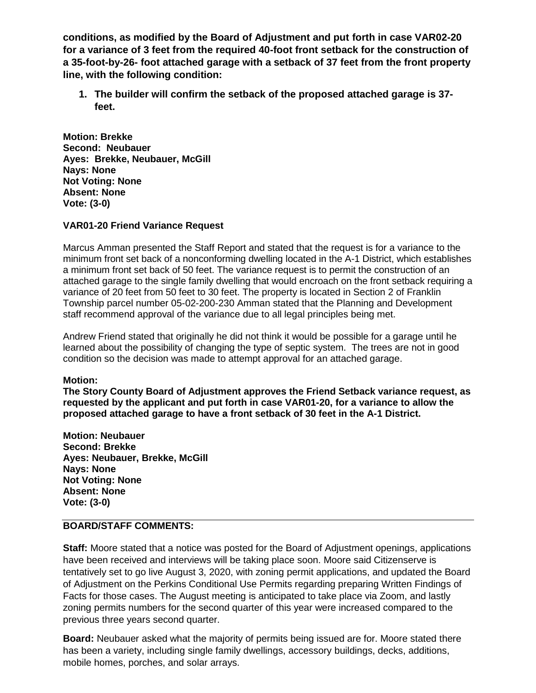**conditions, as modified by the Board of Adjustment and put forth in case VAR02-20 for a variance of 3 feet from the required 40-foot front setback for the construction of a 35-foot-by-26- foot attached garage with a setback of 37 feet from the front property line, with the following condition:**

**1. The builder will confirm the setback of the proposed attached garage is 37 feet.** 

**Motion: Brekke Second: Neubauer Ayes: Brekke, Neubauer, McGill Nays: None Not Voting: None Absent: None Vote: (3-0)**

### **VAR01-20 Friend Variance Request**

Marcus Amman presented the Staff Report and stated that the request is for a variance to the minimum front set back of a nonconforming dwelling located in the A-1 District, which establishes a minimum front set back of 50 feet. The variance request is to permit the construction of an attached garage to the single family dwelling that would encroach on the front setback requiring a variance of 20 feet from 50 feet to 30 feet. The property is located in Section 2 of Franklin Township parcel number 05-02-200-230 Amman stated that the Planning and Development staff recommend approval of the variance due to all legal principles being met.

Andrew Friend stated that originally he did not think it would be possible for a garage until he learned about the possibility of changing the type of septic system. The trees are not in good condition so the decision was made to attempt approval for an attached garage.

#### **Motion:**

**The Story County Board of Adjustment approves the Friend Setback variance request, as requested by the applicant and put forth in case VAR01-20, for a variance to allow the proposed attached garage to have a front setback of 30 feet in the A-1 District.**

**Motion: Neubauer Second: Brekke Ayes: Neubauer, Brekke, McGill Nays: None Not Voting: None Absent: None Vote: (3-0)**

# **BOARD/STAFF COMMENTS:**

**Staff:** Moore stated that a notice was posted for the Board of Adjustment openings, applications have been received and interviews will be taking place soon. Moore said Citizenserve is tentatively set to go live August 3, 2020, with zoning permit applications, and updated the Board of Adjustment on the Perkins Conditional Use Permits regarding preparing Written Findings of Facts for those cases. The August meeting is anticipated to take place via Zoom, and lastly zoning permits numbers for the second quarter of this year were increased compared to the previous three years second quarter.

**Board:** Neubauer asked what the majority of permits being issued are for. Moore stated there has been a variety, including single family dwellings, accessory buildings, decks, additions, mobile homes, porches, and solar arrays.